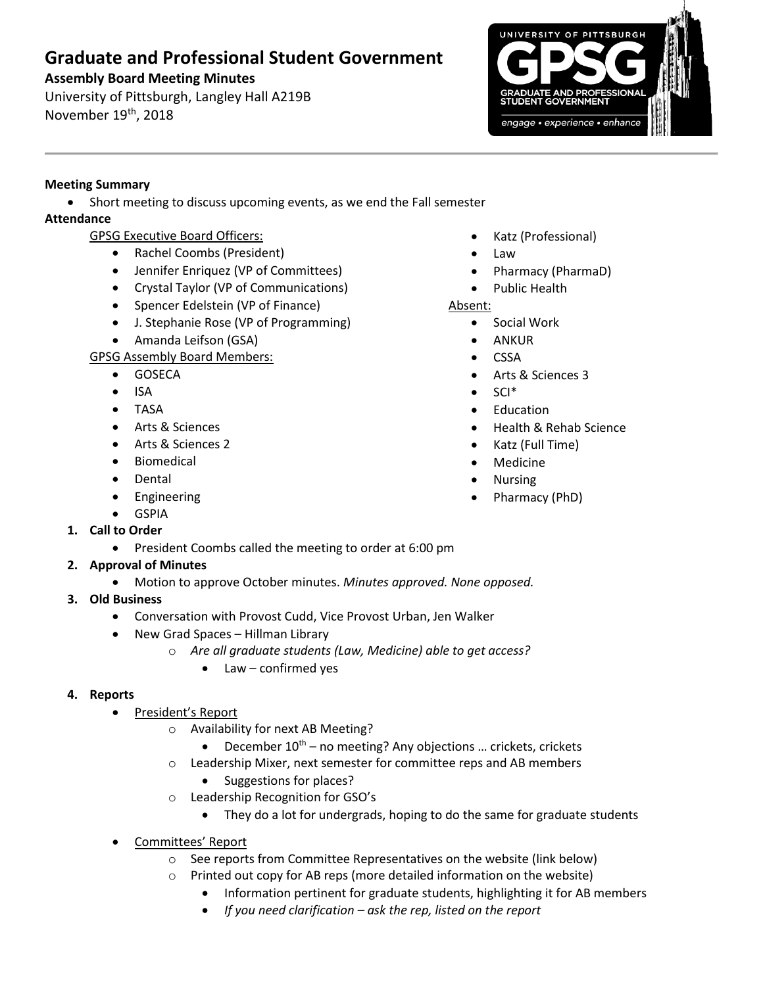# **Graduate and Professional Student Government**

### **Assembly Board Meeting Minutes**

University of Pittsburgh, Langley Hall A219B November 19<sup>th</sup>, 2018



### **Meeting Summary**

• Short meeting to discuss upcoming events, as we end the Fall semester

### **Attendance**

- GPSG Executive Board Officers:
	- Rachel Coombs (President)
	- Jennifer Enriquez (VP of Committees)
	- Crystal Taylor (VP of Communications)
	- Spencer Edelstein (VP of Finance)
	- J. Stephanie Rose (VP of Programming)
	- Amanda Leifson (GSA)

GPSG Assembly Board Members:

- GOSECA
- ISA
- TASA
- Arts & Sciences
- Arts & Sciences 2
- Biomedical
- **Dental**
- Engineering
- **GSPIA**
- **1. Call to Order**
	- President Coombs called the meeting to order at 6:00 pm

# **2. Approval of Minutes**

- Motion to approve October minutes. *Minutes approved. None opposed.*
- **3. Old Business**
	- Conversation with Provost Cudd, Vice Provost Urban, Jen Walker
	- New Grad Spaces Hillman Library
		- o *Are all graduate students (Law, Medicine) able to get access?*
			- Law confirmed yes

# **4. Reports**

- President's Report
	- o Availability for next AB Meeting?
		- December  $10^{th}$  no meeting? Any objections ... crickets, crickets
	- o Leadership Mixer, next semester for committee reps and AB members
		- Suggestions for places?
	- o Leadership Recognition for GSO's
		- They do a lot for undergrads, hoping to do the same for graduate students
- Committees' Report
	- o See reports from Committee Representatives on the website (link below)
	- o Printed out copy for AB reps (more detailed information on the website)
		- Information pertinent for graduate students, highlighting it for AB members
		- *If you need clarification – ask the rep, listed on the report*
- Katz (Professional)
- Law
- Pharmacy (PharmaD)
- Public Health
- Absent:
	- Social Work
	- ANKUR
	- CSSA
	- Arts & Sciences 3
	- SCI\*
	- **Education**
	- Health & Rehab Science
	- Katz (Full Time)
	- Medicine
	- Nursing
	- Pharmacy (PhD)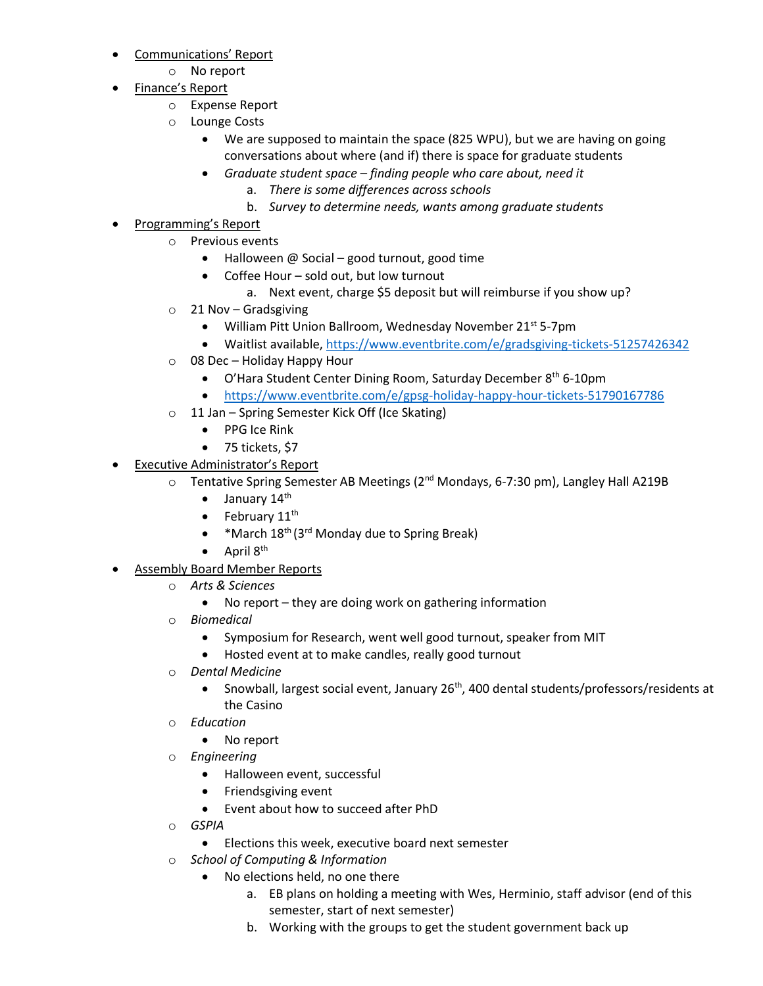- Communications' Report
	- o No report
- Finance's Report
	- o Expense Report
	- o Lounge Costs
		- We are supposed to maintain the space (825 WPU), but we are having on going conversations about where (and if) there is space for graduate students
		- *Graduate student space – finding people who care about, need it*
			- a. *There is some differences across schools*
			- b. *Survey to determine needs, wants among graduate students*
- Programming's Report
	- o Previous events
		- Halloween @ Social good turnout, good time
		- Coffee Hour sold out, but low turnout
			- a. Next event, charge \$5 deposit but will reimburse if you show up?
	- o 21 Nov Gradsgiving
		- William Pitt Union Ballroom, Wednesday November 21<sup>st</sup> 5-7pm
		- Waitlist available[, https://www.eventbrite.com/e/gradsgiving-tickets-51257426342](https://www.eventbrite.com/e/gradsgiving-tickets-51257426342)
	- o 08 Dec Holiday Happy Hour
		- O'Hara Student Center Dining Room, Saturday December 8<sup>th</sup> 6-10pm
		- <https://www.eventbrite.com/e/gpsg-holiday-happy-hour-tickets-51790167786>
	- o 11 Jan Spring Semester Kick Off (Ice Skating)
		- PPG Ice Rink
		- 75 tickets, \$7
- **Executive Administrator's Report** 
	- Tentative Spring Semester AB Meetings (2<sup>nd</sup> Mondays, 6-7:30 pm), Langley Hall A219B
		- $\bullet$  January 14<sup>th</sup>
		- February  $11<sup>th</sup>$
		- \* March 18<sup>th</sup> (3<sup>rd</sup> Monday due to Spring Break)
		- $\bullet$  April  $8^{\text{th}}$
- **Assembly Board Member Reports** 
	- o *Arts & Sciences*
		- No report they are doing work on gathering information
	- o *Biomedical*
		- Symposium for Research, went well good turnout, speaker from MIT
		- Hosted event at to make candles, really good turnout
	- o *Dental Medicine*
		- Snowball, largest social event, January 26<sup>th</sup>, 400 dental students/professors/residents at the Casino
	- o *Education*
		- No report
	- o *Engineering*
		- Halloween event, successful
		- Friendsgiving event
		- Event about how to succeed after PhD
	- o *GSPIA*
		- Elections this week, executive board next semester
	- o *School of Computing & Information*
		- No elections held, no one there
			- a. EB plans on holding a meeting with Wes, Herminio, staff advisor (end of this semester, start of next semester)
			- b. Working with the groups to get the student government back up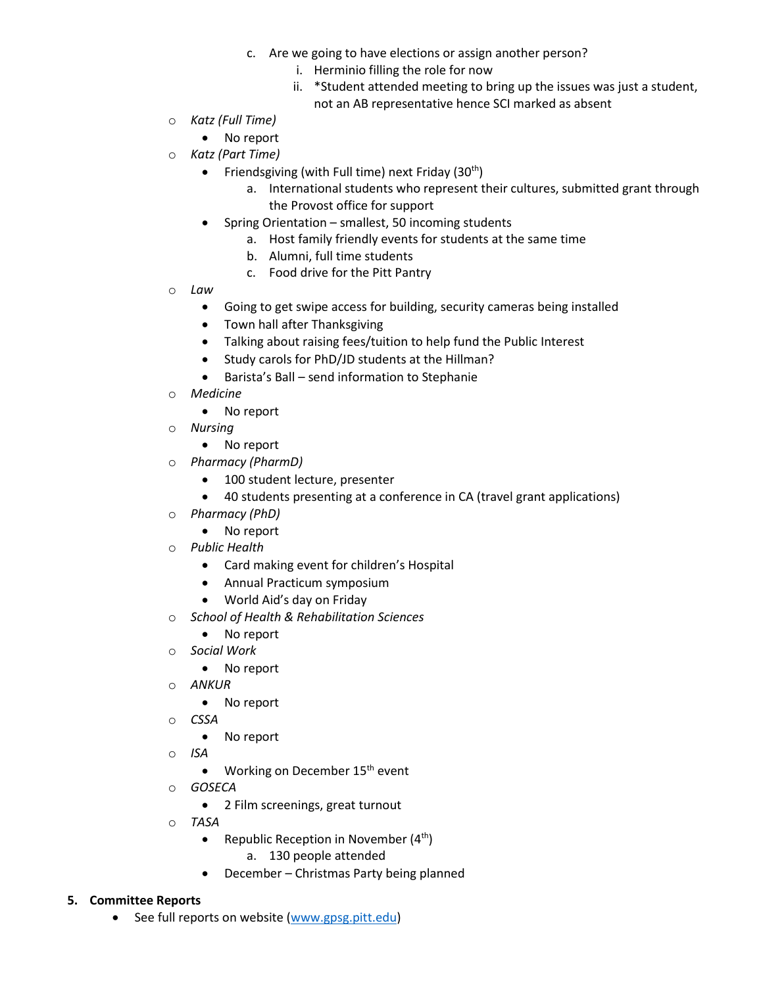- c. Are we going to have elections or assign another person?
	- i. Herminio filling the role for now
	- ii. \*Student attended meeting to bring up the issues was just a student, not an AB representative hence SCI marked as absent
- o *Katz (Full Time)*
	- No report
- o *Katz (Part Time)*
	- Friendsgiving (with Full time) next Friday  $(30<sup>th</sup>)$ 
		- a. International students who represent their cultures, submitted grant through the Provost office for support
	- Spring Orientation smallest, 50 incoming students
		- a. Host family friendly events for students at the same time
		- b. Alumni, full time students
		- c. Food drive for the Pitt Pantry
- o *Law*
	- Going to get swipe access for building, security cameras being installed
	- Town hall after Thanksgiving
	- Talking about raising fees/tuition to help fund the Public Interest
	- Study carols for PhD/JD students at the Hillman?
	- Barista's Ball send information to Stephanie
- o *Medicine*
	- No report
- o *Nursing* 
	- No report
- o *Pharmacy (PharmD)*
	- 100 student lecture, presenter
	- 40 students presenting at a conference in CA (travel grant applications)
- o *Pharmacy (PhD)*
	- No report
- o *Public Health*
	- Card making event for children's Hospital
	- Annual Practicum symposium
	- World Aid's day on Friday
- o *School of Health & Rehabilitation Sciences*
	- No report
- o *Social Work*
	- No report
- o *ANKUR* 
	- No report
- o *CSSA* 
	- No report
- o *ISA* 
	- Working on December 15<sup>th</sup> event
- o *GOSECA*
	- 2 Film screenings, great turnout
- o *TASA*
	- Republic Reception in November  $(4<sup>th</sup>)$ 
		- a. 130 people attended
	- December Christmas Party being planned

#### **5. Committee Reports**

• See full reports on website [\(www.gpsg.pitt.edu\)](http://www.gpsg.pitt.edu/)